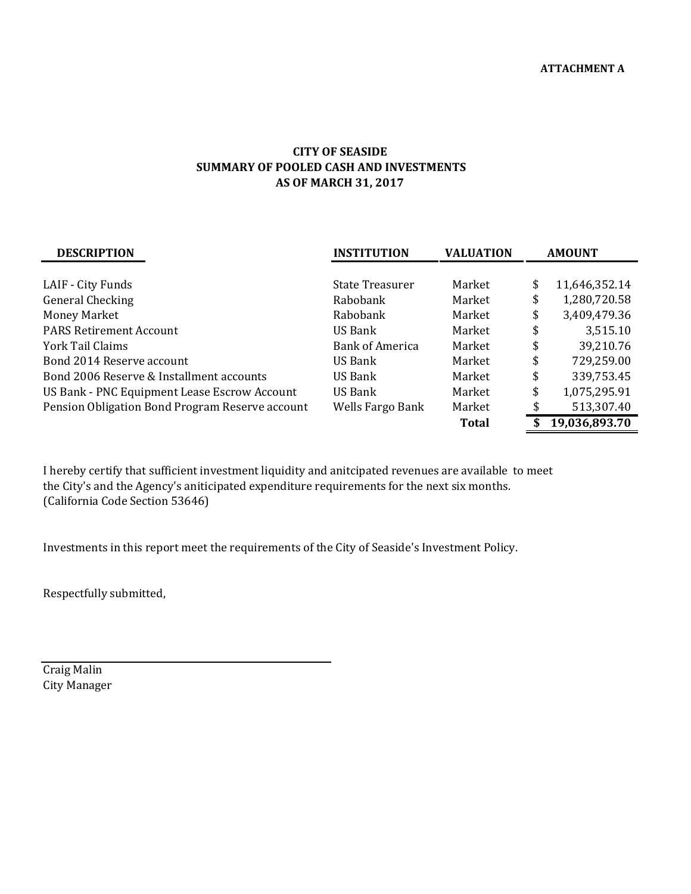## **AS OF MARCH 31, 2017 CITY OF SEASIDE SUMMARY OF POOLED CASH AND INVESTMENTS**

| <b>DESCRIPTION</b>                              | <b>INSTITUTION</b>     | <b>VALUATION</b> | <b>AMOUNT</b> |               |  |
|-------------------------------------------------|------------------------|------------------|---------------|---------------|--|
|                                                 |                        |                  |               |               |  |
| LAIF - City Funds                               | State Treasurer        | Market           | \$            | 11,646,352.14 |  |
| General Checking                                | Rabobank               | Market           | \$            | 1,280,720.58  |  |
| Money Market                                    | Rabobank               | Market           | \$            | 3,409,479.36  |  |
| <b>PARS Retirement Account</b>                  | US Bank                | Market           | \$            | 3,515.10      |  |
| York Tail Claims                                | <b>Bank of America</b> | Market           | \$            | 39,210.76     |  |
| Bond 2014 Reserve account                       | US Bank                | Market           | \$            | 729,259.00    |  |
| Bond 2006 Reserve & Installment accounts        | US Bank                | Market           | \$            | 339,753.45    |  |
| US Bank - PNC Equipment Lease Escrow Account    | US Bank                | Market           | \$            | 1,075,295.91  |  |
| Pension Obligation Bond Program Reserve account | Wells Fargo Bank       | Market           |               | 513,307.40    |  |
|                                                 |                        | <b>Total</b>     |               | 19,036,893.70 |  |

I hereby certify that sufficient investment liquidity and anitcipated revenues are available to meet the City's and the Agency's aniticipated expenditure requirements for the next six months. (California Code Section 53646)

Investments in this report meet the requirements of the City of Seaside's Investment Policy.

Respectfully submitted,

Craig Malin City Manager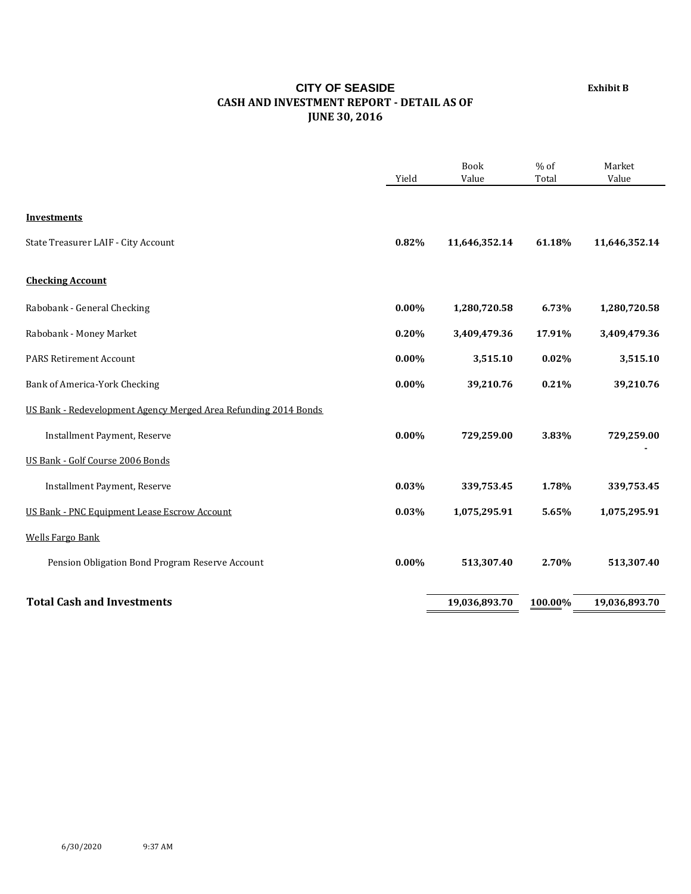## **Exhibit B**

## **CITY OF SEASIDE CASH AND INVESTMENT REPORT ‐ DETAIL AS OF JUNE 30, 2016**

|                                                                 | Yield    | Book<br>Value | $%$ of<br>Total | Market<br>Value |
|-----------------------------------------------------------------|----------|---------------|-----------------|-----------------|
| <b>Investments</b>                                              |          |               |                 |                 |
| State Treasurer LAIF - City Account                             | 0.82%    | 11,646,352.14 | 61.18%          | 11,646,352.14   |
| <b>Checking Account</b>                                         |          |               |                 |                 |
| Rabobank - General Checking                                     | $0.00\%$ | 1,280,720.58  | 6.73%           | 1,280,720.58    |
| Rabobank - Money Market                                         | 0.20%    | 3,409,479.36  | 17.91%          | 3,409,479.36    |
| <b>PARS Retirement Account</b>                                  | $0.00\%$ | 3,515.10      | 0.02%           | 3,515.10        |
| Bank of America-York Checking                                   | 0.00%    | 39,210.76     | 0.21%           | 39,210.76       |
| US Bank - Redevelopment Agency Merged Area Refunding 2014 Bonds |          |               |                 |                 |
| Installment Payment, Reserve                                    | $0.00\%$ | 729,259.00    | 3.83%           | 729,259.00      |
| US Bank - Golf Course 2006 Bonds                                |          |               |                 |                 |
| Installment Payment, Reserve                                    | 0.03%    | 339,753.45    | 1.78%           | 339,753.45      |
| US Bank - PNC Equipment Lease Escrow Account                    | 0.03%    | 1,075,295.91  | 5.65%           | 1,075,295.91    |
| <b>Wells Fargo Bank</b>                                         |          |               |                 |                 |
| Pension Obligation Bond Program Reserve Account                 | 0.00%    | 513,307.40    | 2.70%           | 513,307.40      |
| <b>Total Cash and Investments</b>                               |          | 19,036,893.70 | 100.00%         | 19,036,893.70   |